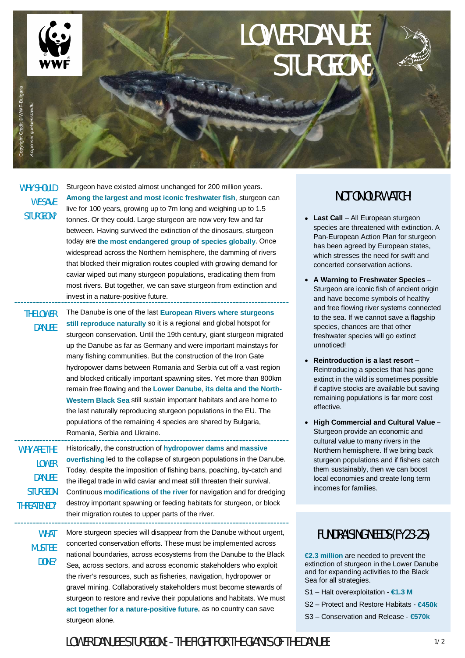

# LOWER DANUBE STURGEONS

| Copyright Credit @ WWF-I<br>Acipenser gueldenstaedtii                                 |                                                                                                                                                                                                                                                                                                                                                                                                                                                                                                                                                                                                                                                                                                                                                                                                                        |
|---------------------------------------------------------------------------------------|------------------------------------------------------------------------------------------------------------------------------------------------------------------------------------------------------------------------------------------------------------------------------------------------------------------------------------------------------------------------------------------------------------------------------------------------------------------------------------------------------------------------------------------------------------------------------------------------------------------------------------------------------------------------------------------------------------------------------------------------------------------------------------------------------------------------|
| <b>WHY SHOULD</b><br><b>WE SAVE</b><br>STURGEON?                                      | Sturgeon have existed almost unchanged for 200 million years.<br>Among the largest and most iconic freshwater fish, sturgeon can<br>live for 100 years, growing up to 7m long and weighing up to 1.5<br>tonnes. Or they could. Large sturgeon are now very few and far<br>between. Having survived the extinction of the dinosaurs, sturgeon<br>today are the most endangered group of species globally. Once<br>widespread across the Northern hemisphere, the damming of rivers<br>that blocked their migration routes coupled with growing demand for<br>caviar wiped out many sturgeon populations, eradicating them from<br>most rivers. But together, we can save sturgeon from extinction and<br>invest in a nature-positive future.                                                                            |
| <b>THE LOWER</b><br><b>DANUBE</b>                                                     | The Danube is one of the last European Rivers where sturgeons<br>still reproduce naturally so it is a regional and global hotspot for<br>sturgeon conservation. Until the 19th century, giant sturgeon migrated<br>up the Danube as far as Germany and were important mainstays for<br>many fishing communities. But the construction of the Iron Gate<br>hydropower dams between Romania and Serbia cut off a vast region<br>and blocked critically important spawning sites. Yet more than 800km<br>remain free flowing and the Lower Danube, its delta and the North-<br>Western Black Sea still sustain important habitats and are home to<br>the last naturally reproducing sturgeon populations in the EU. The<br>populations of the remaining 4 species are shared by Bulgaria,<br>Romania, Serbia and Ukraine. |
| WHY ARE THE<br><b>LOWER</b><br><b>DANUBE</b><br><b>STURGEON</b><br><b>THREATENED?</b> | Historically, the construction of hydropower dams and massive<br>overfishing led to the collapse of sturgeon populations in the Danube.<br>Today, despite the imposition of fishing bans, poaching, by-catch and<br>the illegal trade in wild caviar and meat still threaten their survival.<br>Continuous modifications of the river for navigation and for dredging<br>destroy important spawning or feeding habitats for sturgeon, or block<br>their migration routes to upper parts of the river.                                                                                                                                                                                                                                                                                                                  |
| <b>WHAT</b><br><b>MUST BE</b><br>DONE?                                                | More sturgeon species will disappear from the Danube without urgent,<br>concerted conservation efforts. These must be implemented across<br>national boundaries, across ecosystems from the Danube to the Black<br>Sea, across sectors, and across economic stakeholders who exploit<br>the river's resources, such as fisheries, navigation, hydropower or<br>gravel mining. Collaboratively stakeholders must become stewards of<br>sturgeon to restore and revive their populations and habitats. We must<br>act together for a nature-positive future, as no country can save<br>sturgeon alone.                                                                                                                                                                                                                   |

### NOT ON OUR WATCH!

- **Last Call** All European sturgeon species are threatened with extinction. A Pan-European Action Plan for sturgeon has been agreed by European states, which stresses the need for swift and concerted conservation actions.
- **A Warning to Freshwater Species** Sturgeon are iconic fish of ancient origin and have become symbols of healthy and free flowing river systems connected to the sea. If we cannot save a flagship species, chances are that other freshwater species will go extinct unnoticed!
- **Reintroduction is a last resort** Reintroducing a species that has gone extinct in the wild is sometimes possible if captive stocks are available but saving remaining populations is far more cost effective.
- **High Commercial and Cultural Value** Sturgeon provide an economic and cultural value to many rivers in the Northern hemisphere. If we bring back sturgeon populations and if fishers catch them sustainably, then we can boost local economies and create long term incomes for families.

### FUNDRAISING NEEDS (FY23-25)

**€2.3 million** are needed to prevent the extinction of sturgeon in the Lower Danube and for expanding activities to the Black Sea for all strategies.

- S1 Halt overexploitation **€1.3 M**
- S2 Protect and Restore Habitats **€450k**
- S3 Conservation and Release **€570k**